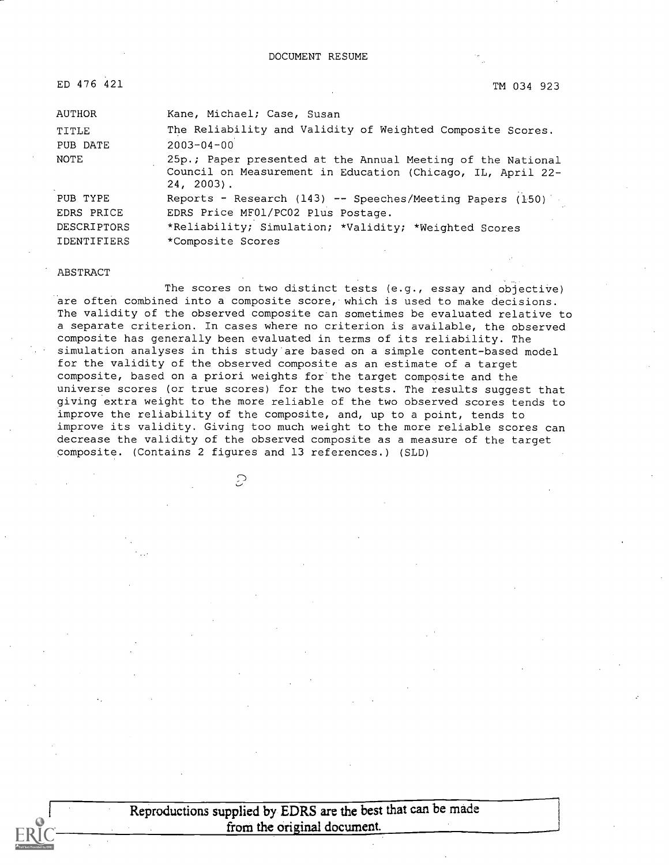| ED 476 421         | TM 034 923                                                                                                                                 |
|--------------------|--------------------------------------------------------------------------------------------------------------------------------------------|
| AUTHOR             | Kane, Michael; Case, Susan                                                                                                                 |
| TITLE              | The Reliability and Validity of Weighted Composite Scores.                                                                                 |
| PUB DATE           | $2003 - 04 - 00$                                                                                                                           |
| NOTE               | 25p.; Paper presented at the Annual Meeting of the National<br>Council on Measurement in Education (Chicago, IL, April 22-<br>$24, 2003$ . |
| PUB TYPE           | Reports - Research (143) -- Speeches/Meeting Papers (150)                                                                                  |
| EDRS PRICE         | EDRS Price MF01/PC02 Plus Postage.                                                                                                         |
| DESCRIPTORS        | *Reliability; Simulation; *Validity; *Weighted Scores                                                                                      |
| <b>IDENTIFIERS</b> | *Composite Scores                                                                                                                          |

ABSTRACT

The scores on two distinct tests (e.g., essay and objective) are often combined into a composite score, which is used to make decisions. The validity of the observed composite can sometimes be evaluated relative to a separate criterion. In cases where no criterion is available, the observed composite has generally been evaluated in terms of its reliability. The simulation analyses in this study are based on a simple content-based model for the validity of the observed composite as an estimate of a target composite, based on a priori weights for the target composite and the universe scores (or true scores) for the two tests. The results suggest that giving extra weight to the more reliable of the two observed scores tends to improve the reliability of the composite, and, up to a point, tends to improve its validity. Giving too much weight to the more reliable scores can decrease the validity of the observed composite as a measure of the target composite. (Contains 2 figures and 13 references.) (SLD)

 $\mathcal{C}$ 

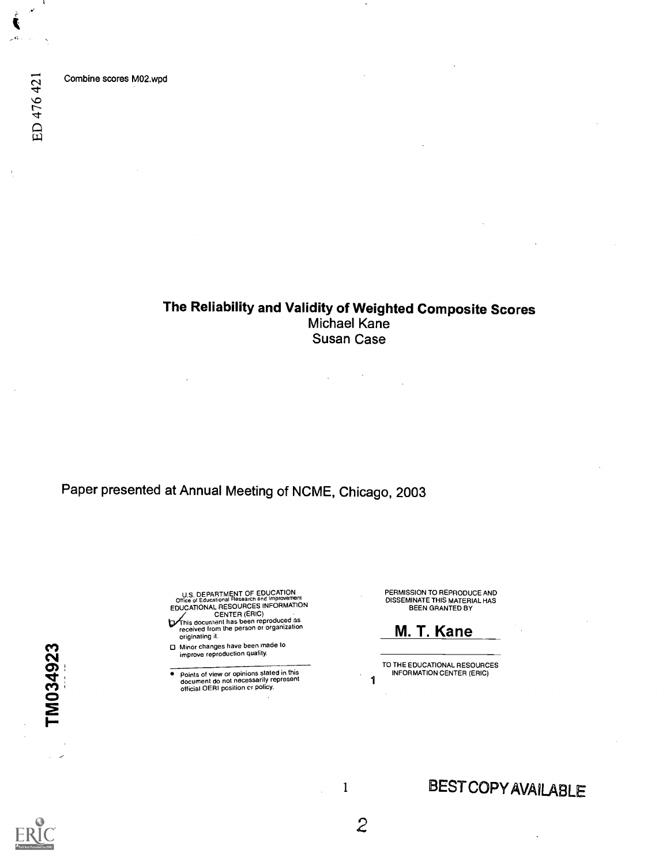Combine scores M02.wpd

 $\boldsymbol{\star}$ ₹ لمر

## The Reliability and Validity of Weighted Composite Scores Michael Kane Susan Case

 $\bar{z}$ 

Paper presented at Annual Meeting of NCME, Chicago, 2003

U.S. DEPARTMENT OF EDUCATION<br>Office of Educational Research and Improvement<br>EDUCATIONAL RESOURCES INFORMATION

CENTER (ERIC)<br>This document has been reproduced as<br>received from the person or organization originating it.

Minor changes have been made to improve reproduction quality.

 $\bullet$ Points of view or opinions stated in this<br>document do not necessarily represent<br>official OERI position or policy.

PERMISSION TO REPRODUCE AND DISSEMINATE THIS MATERIAL HAS BEEN GRANTED BY

M. T. Kane

TO THE EDUCATIONAL RESOURCES INFORMATION CENTER (ERIC)



# <sup>1</sup> BESTCOPYAVAILABLE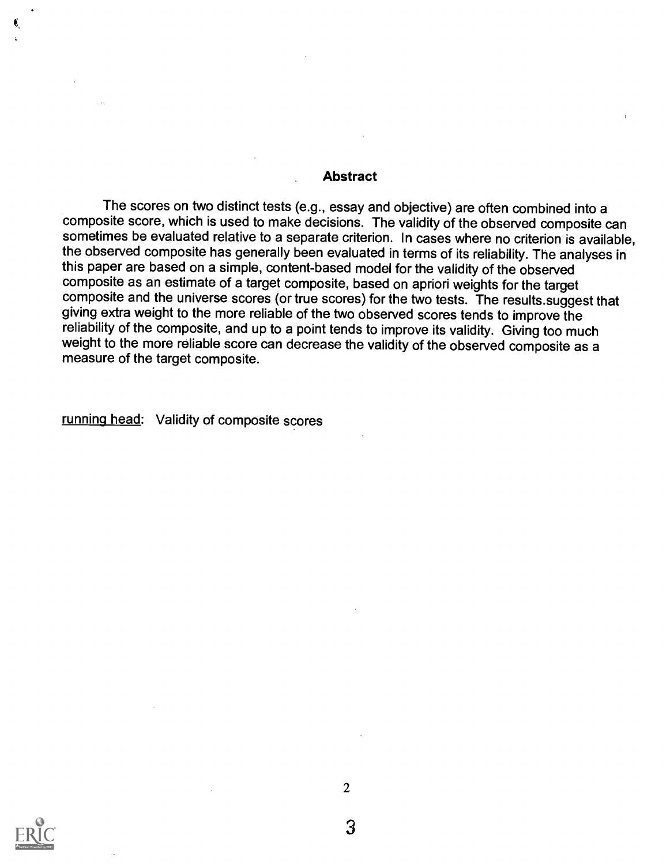#### **Abstract**

The scores on two distinct tests (e.g., essay and objective) are often combined into a composite score, which is used to make decisions. The validity of the observed composite can sometimes be evaluated relative to a separate criterion. In cases where no criterion is available, the observed composite has generally been evaluated in terms of its reliability. The analyses in this paper are based on a simple, content-based model for the validity of the observed composite as an estimate of a target composite, based on apriori weights for the target giving extra weight to the more reliable of the two observed scores tends to improve the reliability of the composite, and up to a point tends to improve its validity. Giving too much weight to the more reliable score can decrease the validity of the observed composite as a measure of the target composite.

running head: Validity of composite scores



2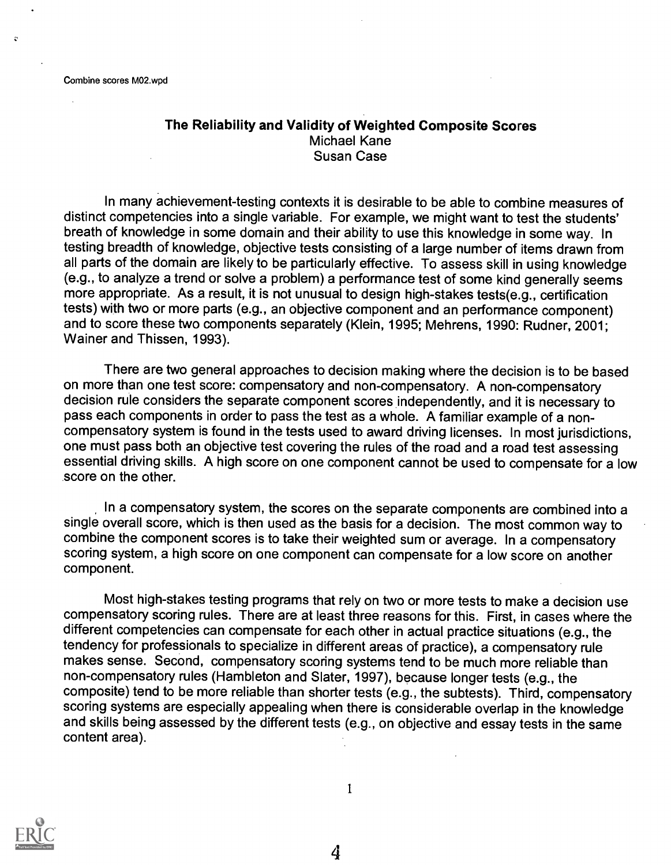Combine scores M02.wpd

 $\ddot{\mathbf{c}}$ 

## The Reliability and Validity of Weighted Composite Scores Michael Kane Susan Case

In many achievement-testing contexts it is desirable to be able to combine measures of distinct competencies into a single variable. For example, we might want to test the students' breath of knowledge in some domain and their ability to use this knowledge in some way. In testing breadth of knowledge, objective tests consisting of a large number of items drawn from all parts of the domain are likely to be particularly effective. To assess skill in using knowledge (e.g., to analyze a trend or solve a problem) a performance test of some kind generally seems more appropriate. As a result, it is not unusual to design high-stakes tests(e.g., certification tests) with two or more parts (e.g., an objective component and an performance component) and to score these two components separately (Klein, 1995; Mehrens, 1990: Rudner, 2001; Wainer and Thissen, 1993).

There are two general approaches to decision making where the decision is to be based on more than one test score: compensatory and non-compensatory. A non-compensatory decision rule considers the separate component scores independently, and it is necessary to pass each components in order to pass the test as a whole. A familiar example of a noncompensatory system is found in the tests used to award driving licenses. In most jurisdictions, one must pass both an objective test covering the rules of the road and a road test assessing essential driving skills. A high score on one component cannot be used to compensate for a low score on the other.

In a compensatory system, the scores on the separate components are combined into a single overall score, which is then used as the basis for a decision. The most common way to combine the component scores is to take their weighted sum or average. In a compensatory scoring system, a high score on one component can compensate for a low score on another component.

Most high-stakes testing programs that rely on two or more tests to make a decision use compensatory scoring rules. There are at least three reasons for this. First, in cases where the different competencies can compensate for each other in actual practice situations (e.g., the tendency for professionals to specialize in different areas of practice), a compensatory rule makes sense. Second, compensatory scoring systems tend to be much more reliable than non-compensatory rules (Hambleton and Slater, 1997), because longer tests (e.g., the composite) tend to be more reliable than shorter tests (e.g., the subtests). Third, compensatory scoring systems are especially appealing when there is considerable overlap in the knowledge and skills being assessed by the different tests (e.g., on objective and essay tests in the same content area).

1

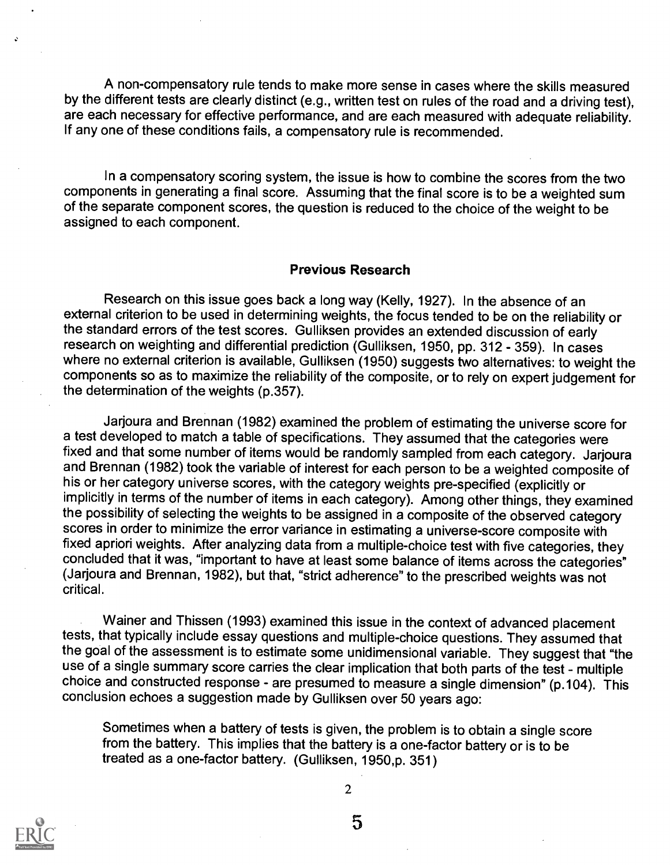A non-compensatory rule tends to make more sense in cases where the skills measured by the different tests are clearly distinct (e.g., written test on rules of the road and a driving test), are each necessary for effective performance, and are each measured with adequate reliability. If any one of these conditions fails, a compensatory rule is recommended.

In a compensatory scoring system, the issue is how to combine the scores from the two components in generating a final score. Assuming that the final score is to be a weighted sum of the separate component scores, the question is reduced to the choice of the weight to be assigned to each component.

#### Previous Research

Research on this issue goes back a long way (Kelly, 1927). In the absence of an external criterion to be used in determining weights, the focus tended to be on the reliability or the standard errors of the test scores. Gulliksen provides an extended discussion of early research on weighting and differential prediction (Gulliksen, 1950, pp. 312 - 359). In cases where no external criterion is available, Gulliksen (1950) suggests two alternatives: to weight the components so as to maximize the reliability of the composite, or to rely on expert judgement for the determination of the weights (p.357).

Jarjoura and Brennan (1982) examined the problem of estimating the universe score for a test developed to match a table of specifications. They assumed that the categories were fixed and that some number of items would be randomly sampled from each category. Jarjoura and Brennan (1982) took the variable of interest for each person to be a weighted composite of his or her category universe scores, with the category weights pre-specified (explicitly or implicitly in terms of the number of items in each category). Among other things, they examined the possibility of selecting the weights to be assigned in a composite of the observed category scores in order to minimize the error variance in estimating a universe-score composite with fixed apriori weights. After analyzing data from a multiple-choice test with five categories, they concluded that it was, "important to have at least some balance of items across the categories" (Jarjoura and Brennan, 1982), but that, "strict adherence" to the prescribed weights was not critical.

Wainer and Thissen (1993) examined this issue in the context of advanced placement tests, that typically include essay questions and multiple-choice questions. They assumed that the goal of the assessment is to estimate some unidimensional variable. They suggest that "the use of a single summary score carries the clear implication that both parts of the test - multiple choice and constructed response - are presumed to measure a single dimension" (p.104). This conclusion echoes a suggestion made by Gulliksen over 50 years ago:

Sometimes when a battery of tests is given, the problem is to obtain a single score from the battery. This implies that the battery is a one-factor battery or is to be treated as a one-factor battery. (Gulliksen, 1950,p. 351)



2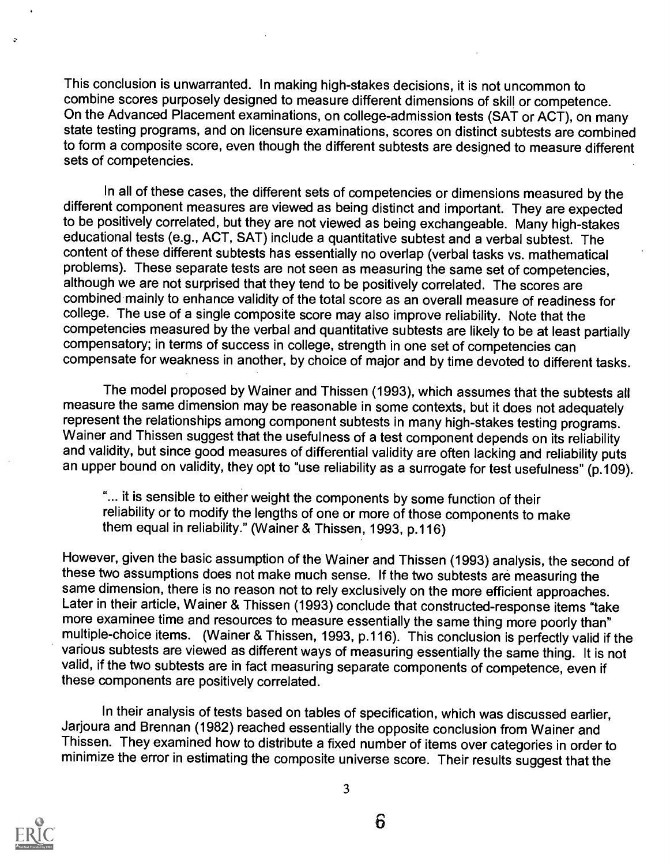This conclusion is unwarranted. In making high-stakes decisions, it is not uncommon to combine scores purposely designed to measure different dimensions of skill or competence. On the Advanced Placement examinations, on college-admission tests (SAT or ACT), on many state testing programs, and on licensure examinations, scores on distinct subtests are combined to form a composite score, even though the different subtests are designed to measure different sets of competencies.

In all of these cases, the different sets of competencies or dimensions measured by the different component measures are viewed as being distinct and important. They are expected to be positively correlated, but they are not viewed as being exchangeable. Many high-stakes educational tests (e.g., ACT, SAT) include a quantitative subtest and a verbal subtest. The content of these different subtests has essentially no overlap (verbal tasks vs. mathematical problems). These separate tests are not seen as measuring the same set of competencies, although we are not surprised that they tend to be positively correlated. The scores are combined mainly to enhance validity of the total score as an overall measure of readiness for college. The use of a single composite score may also improve reliability. Note that the competencies measured by the verbal and quantitative subtests are likely to be at least partially compensatory; in terms of success in college, strength in one set of competencies can compensate for weakness in another, by choice of major and by time devoted to different tasks.

The model proposed by Wainer and Thissen (1993), which assumes that the subtests all measure the same dimension may be reasonable in some contexts, but it does not adequately represent the relationships among component subtests in many high-stakes testing programs. Wainer and Thissen suggest that the usefulness of a test component depends on its reliability and validity, but since good measures of differential validity are often lacking and reliability puts an upper bound on validity, they opt to "use reliability as a surrogate for test usefulness" (p.109).

"... it is sensible to either weight the components by some function of their reliability or to modify the lengths of one or more of those components to make them equal in reliability." (Wainer & Thissen, 1993, p.116)

However, given the basic assumption of the Wainer and Thissen (1993) analysis, the second of these two assumptions does not make much sense. If the two subtests are measuring the same dimension, there is no reason not to rely exclusively on the more efficient approaches. Later in their article, Wainer & Thissen (1993) conclude that constructed-response items "take<br>more examinee time and resources to measure essentially the same thing more poorly than" multiple-choice items. (Wainer & Thissen, 1993, p.116). This conclusion is perfectly valid if the various subtests are viewed as different ways of measuring essentially the same thing. It is not valid, if the two subtests are in fact measuring separate components of competence, even if these components are positively correlated.

In their analysis of tests based on tables of specification, which was discussed earlier, Jarjoura and Brennan (1982) reached essentially the opposite conclusion from Wainer and Thissen. They examined how to distribute a fixed number of items over categories in order to minimize the error in estimating the composite universe score. Their results suggest that the



 $\ddot{\mathbf{c}}$ 

3

 $6\overline{6}$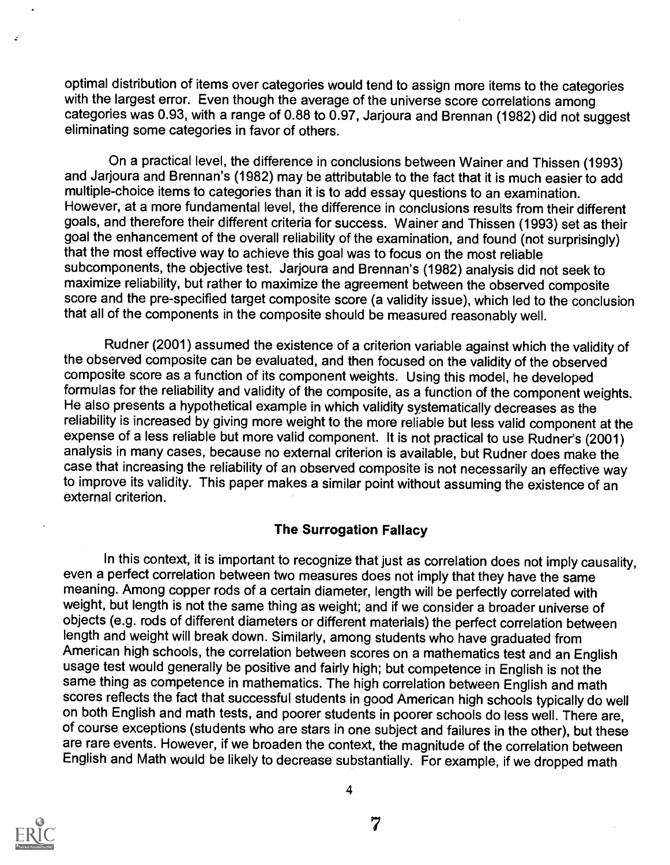optimal distribution of items over categories would tend to assign more items to the categories with the largest error. Even though the average of the universe score correlations among categories was 0.93, with a range of 0.88 to 0.97, Jarjoura and Brennan (1982) did not suggest eliminating some categories in favor of others.

On a practical level, the difference in conclusions between Wainer and Thissen (1993) and Jarjoura and Brennan's (1982) may be attributable to the fact that it is much easier to add multiple-choice items to categories than it is to add essay questions to an examination. However, at a more fundamental level, the difference in conclusions results from their different goals, and therefore their different criteria for success. Wainer and Thissen (1993) set as their goal the enhancement of the overall reliability of the examination, and found (not surprisingly) that the most effective way to achieve this goal was to focus on the most reliable subcomponents, the objective test. Jarjoura and Brennan's (1982) analysis did not seek to maximize reliability, but rather to maximize the agreement between the observed composite score and the pre-specified target composite score (a validity issue), which led to the conclusion that all of the components in the composite should be measured reasonably well.

Rudner (2001) assumed the existence of a criterion variable against which the validity of the observed composite can be evaluated, and then focused on the validity of the observed composite score as a function of its component weights. Using this model, he developed formulas for the reliability and validity of the composite, as a function of the component weights. He also presents a hypothetical example in which validity systematically decreases as the reliability is increased by giving more weight to the more reliable but less valid component at the expense of a less reliable but more valid component. It is not practical to use Rudner's (2001) analysis in many cases, because no external criterion is available, but Rudner does make the case that increasing the reliability of an observed composite is not necessarily an effective way to improve its validity. This paper makes a similar point without assuming the existence of an external criterion.

## The Surrogation Fallacy

In this context, it is important to recognize that just as correlation does not imply causality, even a perfect correlation between two measures does not imply that they have the same meaning. Among copper rods of a certain diameter, length will be perfectly correlated with weight, but length is not the same thing as weight; and if we consider a broader universe of objects (e.g. rods of different diameters or different materials) the perfect correlation between length and weight will break down. Similarly, among students who have graduated from American high schools, the correlation between scores on a mathematics test and an English usage test would generally be positive and fairly high; but competence in English is not the same thing as competence in mathematics. The high correlation between English and math scores reflects the fact that successful students in good American high schools typically do well on both English and math tests, and poorer students in poorer schools do less well. There are, of course exceptions (students who are stars in one subject and failures in the other), but these are rare events. However, if we broaden the context, the magnitude of the correlation between English and Math would be likely to decrease substantially. For example, if we dropped math



4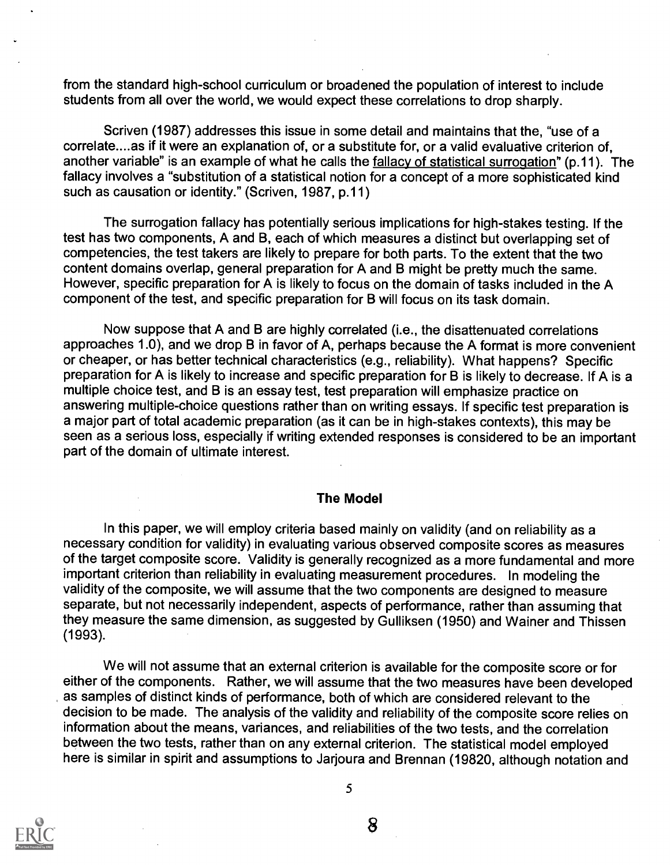from the standard high-school curriculum or broadened the population of interest to include students from all over the world, we would expect these correlations to drop sharply.

Scriven (1987) addresses this issue in some detail and maintains that the, "use of a correlate....as if it were an explanation of, or a substitute for, or a valid evaluative criterion of, another variable" is an example of what he calls the fallacy of statistical surrogation" (p.11). The fallacy involves a "substitution of a statistical notion for a concept of a more sophisticated kind such as causation or identity." (Scriven, 1987, p.11)

The surrogation fallacy has potentially serious implications for high-stakes testing. If the test has two components, A and B, each of which measures a distinct but overlapping set of competencies, the test takers are likely to prepare for both parts. To the extent that the two content domains overlap, general preparation for A and B might be pretty much the same. However, specific preparation for A is likely to focus on the domain of tasks included in the A component of the test, and specific preparation for B will focus on its task domain.

Now suppose that A and B are highly correlated (i.e., the disattenuated correlations approaches 1.0), and we drop B in favor of A, perhaps because the A format is more convenient or cheaper, or has better technical characteristics (e.g., reliability). What happens? Specific preparation for A is likely to increase and specific preparation for B is likely to decrease. If A is a multiple choice test, and B is an essay test, test preparation will emphasize practice on answering multiple-choice questions rather than on writing essays. If specific test preparation is a major part of total academic preparation (as it can be in high-stakes contexts), this may be seen as a serious loss, especially if writing extended responses is considered to be an important part of the domain of ultimate interest.

#### The Model

In this paper, we will employ criteria based mainly on validity (and on reliability as a necessary condition for validity) in evaluating various observed composite scores as measures of the target composite score. Validity is generally recognized as a more fundamental and more important criterion than reliability in evaluating measurement procedures. In modeling the validity of the composite, we will assume that the two components are designed to measure separate, but not necessarily independent, aspects of performance, rather than assuming that they measure the same dimension, as suggested by Gulliksen (1950) and Wainer and Thissen (1993).

We will not assume that an external criterion is available for the composite score or for either of the components. Rather, we will assume that the two measures have been developed as samples of distinct kinds of performance, both of which are considered relevant to the decision to be made. The analysis of the validity and reliability of the composite score relies on information about the means, variances, and reliabilities of the two tests, and the correlation between the two tests, rather than on any external criterion. The statistical model employed here is similar in spirit and assumptions to Jarjoura and Brennan (19820, although notation and



5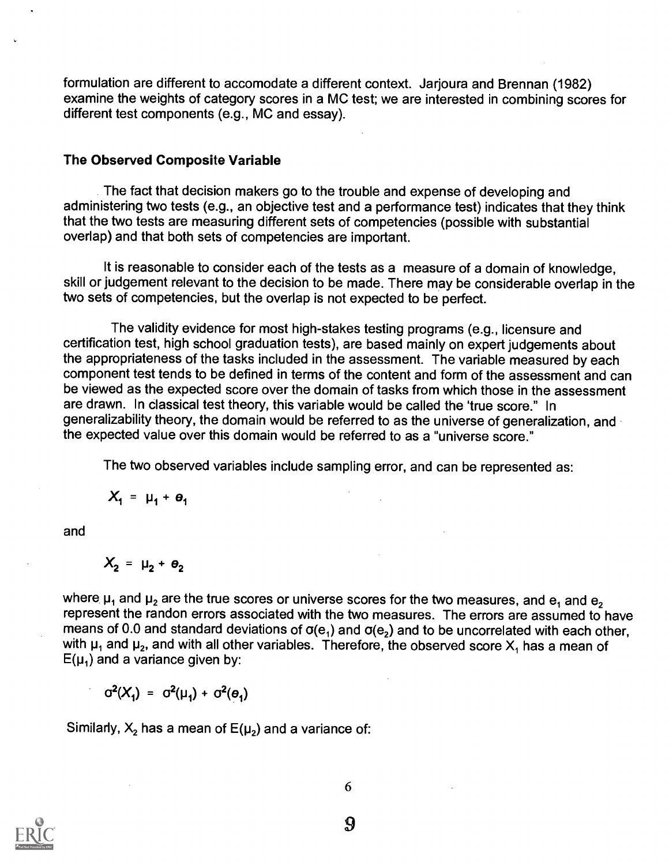formulation are different to accomodate a different context. Jarjoura and Brennan (1982) examine the weights of category scores in a MC test; we are interested in combining scores for different test components (e.g., MC and essay).

### The Observed Composite Variable

The fact that decision makers go to the trouble and expense of developing and administering two tests (e.g., an objective test and a performance test) indicates that they think that the two tests are measuring different sets of competencies (possible with substantial overlap) and that both sets of competencies are important.

It is reasonable to consider each of the tests as a measure of a domain of knowledge, skill or judgement relevant to the decision to be made. There may be considerable overlap in the two sets of competencies, but the overlap is not expected to be perfect.

The validity evidence for most high-stakes testing programs (e.g., licensure and certification test, high school graduation tests), are based mainly on expert judgements about the appropriateness of the tasks included in the assessment. The variable measured by each component test tends to be defined in terms of the content and form of the assessment and can be viewed as the expected score over the domain of tasks from which those in the assessment are drawn. In classical test theory, this variable would be called the 'true score." In generalizability theory, the domain would be referred to as the universe of generalization, and the expected value over this domain would be referred to as a "universe score."

The two observed variables include sampling error, and can be represented as:

 $X_1 = \mu_1 + \theta_1$ 

and

$$
X_2 = \mu_2 + \theta_2
$$

where  $\mu_1$  and  $\mu_2$  are the true scores or universe scores for the two measures, and e<sub>1</sub> and e<sub>2</sub> represent the randon errors associated with the two measures. The errors are assumed to have means of 0.0 and standard deviations of  $\sigma(e_1)$  and  $\sigma(e_2)$  and to be uncorrelated with each other, with  $\mu_1$  and  $\mu_2$ , and with all other variables. Therefore, the observed score  $X_1$  has a mean of  $E(\mu_1)$  and a variance given by:

$$
\sigma^2(X_1) = \sigma^2(\mu_1) + \sigma^2(\theta_1)
$$

Similarly,  $X_2$  has a mean of  $E(\mu_2)$  and a variance of:

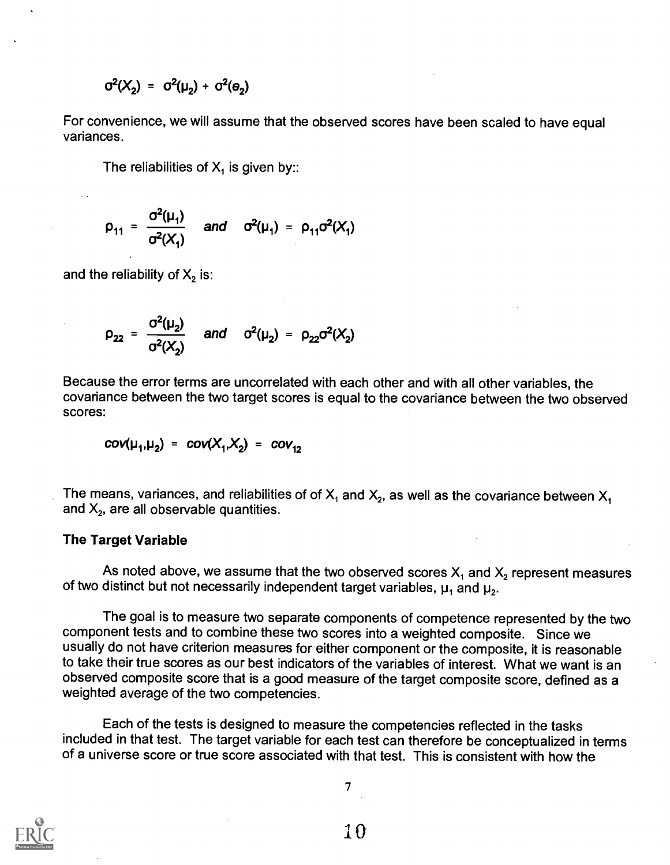$$
\sigma^2(X_2) = \sigma^2(\mu_2) + \sigma^2(\theta_2)
$$

For convenience, we will assume that the observed scores have been scaled to have equal variances.

The reliabilities of  $X_1$  is given by::

$$
\rho_{11} = \frac{\sigma^2(\mu_1)}{\sigma^2(X_1)}
$$
 and  $\sigma^2(\mu_1) = \rho_{11}\sigma^2(X_1)$ 

and the reliability of  $X<sub>2</sub>$  is:

$$
\rho_{22} = \frac{\sigma^2(\mu_2)}{\sigma^2(X_2)} \quad \text{and} \quad \sigma^2(\mu_2) = \rho_{22}\sigma^2(X_2)
$$

Because the error terms are uncorrelated with each other and with all other variables, the covariance between the two target scores is equal to the covariance between the two observed scores:

$$
cov(\mu_1, \mu_2) = cov(X_1, X_2) = cov_{12}
$$

The means, variances, and reliabilities of of  $X_1$  and  $X_2$ , as well as the covariance between  $X_1$ and  $X_2$ , are all observable quantities.

#### The Target Variable

As noted above, we assume that the two observed scores  $X_1$  and  $X_2$  represent measures of two distinct but not necessarily independent target variables,  $\mu_1$  and  $\mu_2$ .

The goal is to measure two separate components of competence represented by the two component tests and to combine these two scores into a weighted composite. Since we usually do not have criterion measures for either component or the composite, it is reasonable to take their true scores as our best indicators of the variables of interest. What we want is an observed composite score that is a good measure of the target composite score, defined as a weighted average of the two competencies.

Each of the tests is designed to measure the competencies reflected in the tasks included in that test. The target variable for each test can therefore be conceptualized in terms of a universe score or true score associated with that test. This is consistent with how the

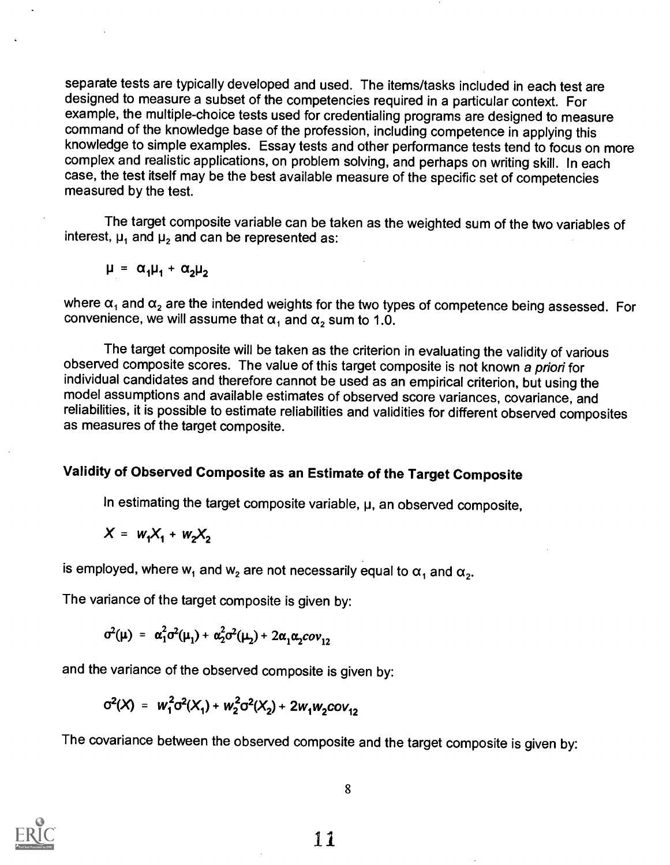separate tests are typically developed and used. The items/tasks included in each test are designed to measure a subset of the competencies required in a particular context. For example, the multiple-choice tests used for credentialing programs are designed to measure command of the knowledge base of the profession, including competence in applying this knowledge to simple examples. Essay tests and other performance tests tend to focus on more complex and realistic applications, on problem solving, and perhaps on writing skill. In each case, the test itself may be the best available measure of the specific set of competencies measured by the test.

The target composite variable can be taken as the weighted sum of the two variables of interest,  $\mu_1$  and  $\mu_2$  and can be represented as:

$$
\mu = \alpha_1 \mu_1 + \alpha_2 \mu_2
$$

where  $\alpha_1$  and  $\alpha_2$  are the intended weights for the two types of competence being assessed. For convenience, we will assume that  $\alpha_1$  and  $\alpha_2$  sum to 1.0.

The target composite will be taken as the criterion in evaluating the validity of various observed composite scores. The value of this target composite is not known a priori for individual candidates and therefore cannot be used as an empirical criterion, but using the model assumptions and available estimates of observed score variances, covariance, and reliabilities, it is possible to estimate reliabilities and validities for different observed composites as measures of the target composite.

## Validity of Observed Composite as an Estimate of the Target Composite

In estimating the target composite variable,  $\mu$ , an observed composite,

$$
X = w_1 X_1 + w_2 X_2
$$

is employed, where  $w_1$  and  $w_2$  are not necessarily equal to  $\alpha_1$  and  $\alpha_2$ .

The variance of the target composite is given by:

$$
\sigma^2(\mu) = \alpha_1^2 \sigma^2(\mu_1) + \alpha_2^2 \sigma^2(\mu_2) + 2\alpha_1 \alpha_2 \text{cov}_{12}
$$

and the variance of the observed composite is given by:

$$
\sigma^2(X) = w_1^2 \sigma^2(X_1) + w_2^2 \sigma^2(X_2) + 2w_1 w_2 \text{cov}_{12}
$$

The covariance between the observed composite and the target composite is given by:

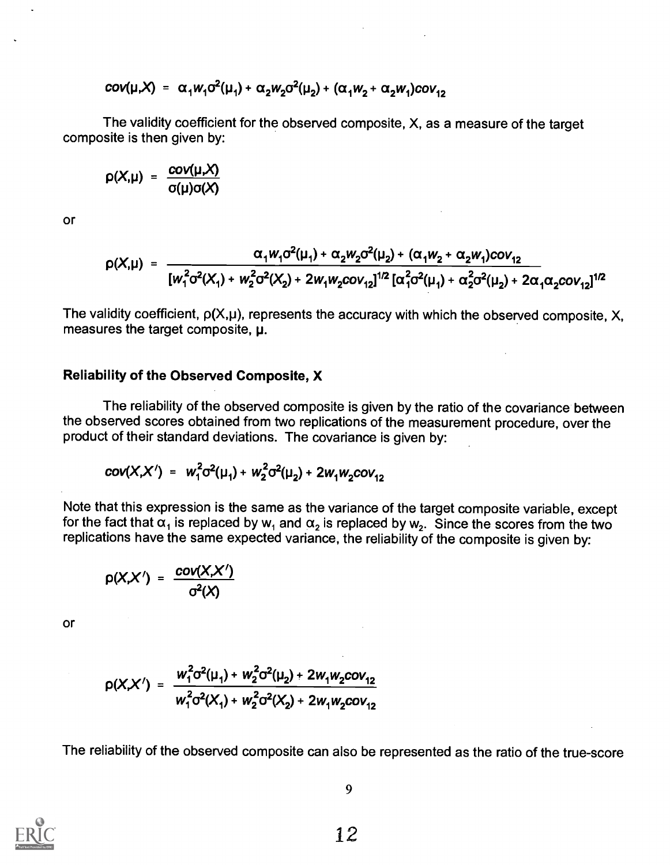$$
cov(\mu, X) = \alpha_1 w_1 \sigma^2(\mu_1) + \alpha_2 w_2 \sigma^2(\mu_2) + (\alpha_1 w_2 + \alpha_2 w_1) cov_{12}
$$

The validity coefficient for the observed composite, X, as a measure of the target composite is then given by:

$$
\rho(X,\mu) = \frac{\text{cov}(\mu,X)}{\sigma(\mu)\sigma(X)}
$$

or

$$
\rho(X,\mu) = \frac{\alpha_1 w_1 \sigma^2(\mu_1) + \alpha_2 w_2 \sigma^2(\mu_2) + (\alpha_1 w_2 + \alpha_2 w_1) \sigma^2}{[w_1^2 \sigma^2(X_1) + w_2^2 \sigma^2(X_2) + 2w_1 w_2 \sigma^2(\mu_1)]^{1/2} [\alpha_1^2 \sigma^2(\mu_1) + \alpha_2^2 \sigma^2(\mu_2) + 2\alpha_1 \alpha_2 \sigma^2(\mu_1)]^{1/2}}
$$

The validity coefficient,  $p(X,\mu)$ , represents the accuracy with which the observed composite, X, measures the target composite,  $\mu$ .

#### Reliability of the Observed Composite, X

The reliability of the observed composite is given by the ratio of the covariance between the observed scores obtained from two replications of the measurement procedure, over the product of their standard deviations. The covariance is given by:

$$
cov(X,X') = w_1^2 \sigma^2(\mu_1) + w_2^2 \sigma^2(\mu_2) + 2w_1 w_2 cov_{12}
$$

Note that this expression is the same as the variance of the target composite variable, except for the fact that  $\alpha_1$  is replaced by w<sub>1</sub> and  $\alpha_2$  is replaced by w<sub>2</sub>. Since the scores from the two replications have the same expected variance, the reliability of the composite is given by:

$$
\rho(X,X') = \frac{cov(X,X')}{\sigma^2(X)}
$$

or

$$
p(X,X') = \frac{w_1^2 \sigma^2(\mu_1) + w_2^2 \sigma^2(\mu_2) + 2w_1 w_2 \sigma v_{12}}{w_1^2 \sigma^2(X_1) + w_2^2 \sigma^2(X_2) + 2w_1 w_2 \sigma v_{12}}
$$

The reliability of the observed composite can also be represented as the ratio of the true-score

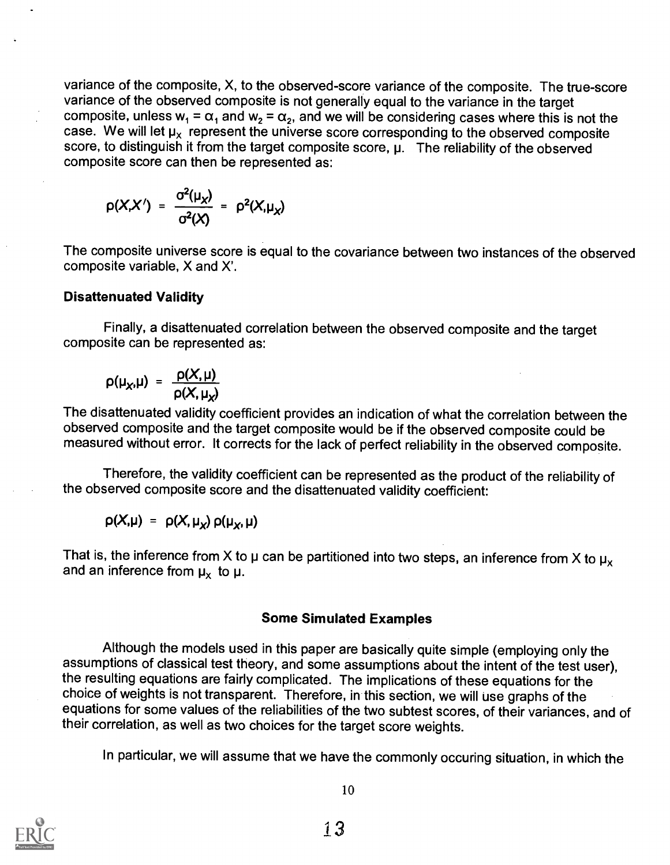variance of the composite, X, to the observed-score variance of the composite. The true-score variance of the observed composite is not generally equal to the variance in the target composite, unless  $w_1 = \alpha_1$  and  $w_2 = \alpha_2$ , and we will be considering cases where this is not the case. We will let  $\mu_X$  represent the universe score corresponding to the observed composite score, to distinguish it from the target composite score,  $\mu$ . The reliability of the observed composite score can then be represented as:

$$
\rho(X,X') = \frac{\sigma^2(\mu_X)}{\sigma^2(X)} = \rho^2(X,\mu_X)
$$

The composite universe score is equal to the covariance between two instances of the observed composite variable, X and X'.

#### Disattenuated Validity

Finally, a disattenuated correlation between the observed composite and the target composite can be represented as:

$$
\rho(\mu_X, \mu) = \frac{\rho(X, \mu)}{\rho(X, \mu_X)}
$$

The disattenuated validity coefficient provides an indication of what the correlation between the observed composite and the target composite would be if the observed composite could be measured without error. It corrects for the lack of perfect reliability in the observed composite.

Therefore, the validity coefficient can be represented as the product of the reliability of the observed composite score and the disattenuated validity coefficient:

 $p(X, \mu) = p(X, \mu_X) p(\mu_X, \mu)$ 

That is, the inference from X to  $\mu$  can be partitioned into two steps, an inference from X to  $\mu_X$  and an inference from  $\mu_X$  to  $\mu$ .

## Some Simulated Examples

Although the models used in this paper are basically quite simple (employing only the assumptions of classical test theory, and some assumptions about the intent of the test user), the resulting equations are fairly complicated. The implications of these equations for the choice of weights is not transparent. Therefore, in this section, we will use graphs of the equations for some values of the reliabilities of the two subtest scores, of their variances, and of their correlation, as well as two choices for the target score weights.

In particular, we will assume that we have the commonly occuring situation, in which the



10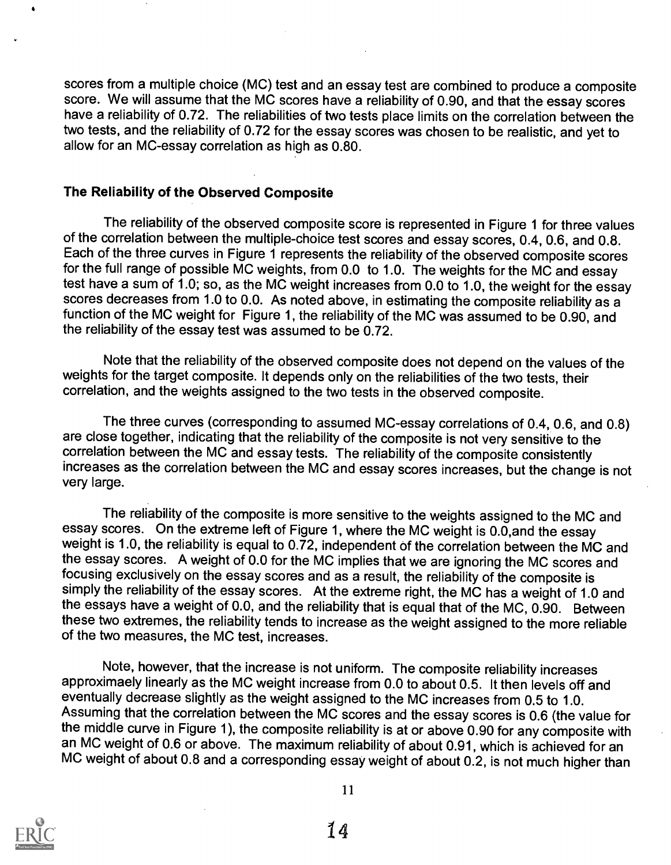scores from a multiple choice (MC) test and an essay test are combined to produce a composite score. We will assume that the MC scores have a reliability of 0.90, and that the essay scores have a reliability of 0.72. The reliabilities of two tests place limits on the correlation between the two tests, and the reliability of 0.72 for the essay scores was chosen to be realistic, and yet to allow for an MC-essay correlation as high as 0.80.

## The Reliability of the Observed Composite

The reliability of the observed composite score is represented in Figure 1 for three values of the correlation between the multiple-choice test scores and essay scores, 0.4, 0.6, and 0.8. Each of the three curves in Figure 1 represents the reliability of the observed composite scores for the full range of possible MC weights, from 0.0 to 1.0. The weights for the MC and essay test have a sum of 1.0; so, as the MC weight increases from 0.0 to 1.0, the weight for the essay scores decreases from 1.0 to 0.0. As noted above, in estimating the composite reliability as a function of the MC weight for Figure 1, the reliability of the MC was assumed to be 0.90, and the reliability of the essay test was assumed to be 0.72.

Note that the reliability of the observed composite does not depend on the values of the weights for the target composite. It depends only on the reliabilities of the two tests, their correlation, and the weights assigned to the two tests in the observed composite.

The three curves (corresponding to assumed MC-essay correlations of 0.4, 0.6, and 0.8) are close together, indicating that the reliability of the composite is not very sensitive to the correlation between the MC and essay tests. The reliability of the composite consistently increases as the correlation between the MC and essay scores increases, but the change is not very large.

The reliability of the composite is more sensitive to the weights assigned to the MC and essay scores. On the extreme left of Figure 1, where the MC weight is 0.0,and the essay weight is 1.0, the reliability is equal to 0.72, independent of the correlation between the MC and the essay scores. A weight of 0.0 for the MC implies that we are ignoring the MC scores and focusing exclusively on the essay scores and as a result, the reliability of the composite is simply the reliability of the essay scores. At the extreme right, the MC has a weight of 1.0 and the essays have a weight of 0.0, and the reliability that is equal that of the MC, 0.90. Between these two extremes, the reliability tends to increase as the weight assigned to the more reliable of the two measures, the MC test, increases.

Note, however, that the increase is not uniform. The composite reliability increases approximaely linearly as the MC weight increase from 0.0 to about 0.5. It then levels off and eventually decrease slightly as the weight assigned to the MC increases from 0.5 to 1.0. Assuming that the correlation between the MC scores and the essay scores is 0.6 (the value for the middle curve in Figure 1), the composite reliability is at or above 0.90 for any composite with an MC weight of 0.6 or above. The maximum reliability of about 0.91, which is achieved for an MC weight of about 0.8 and a corresponding essay weight of about 0.2, is not much higher than

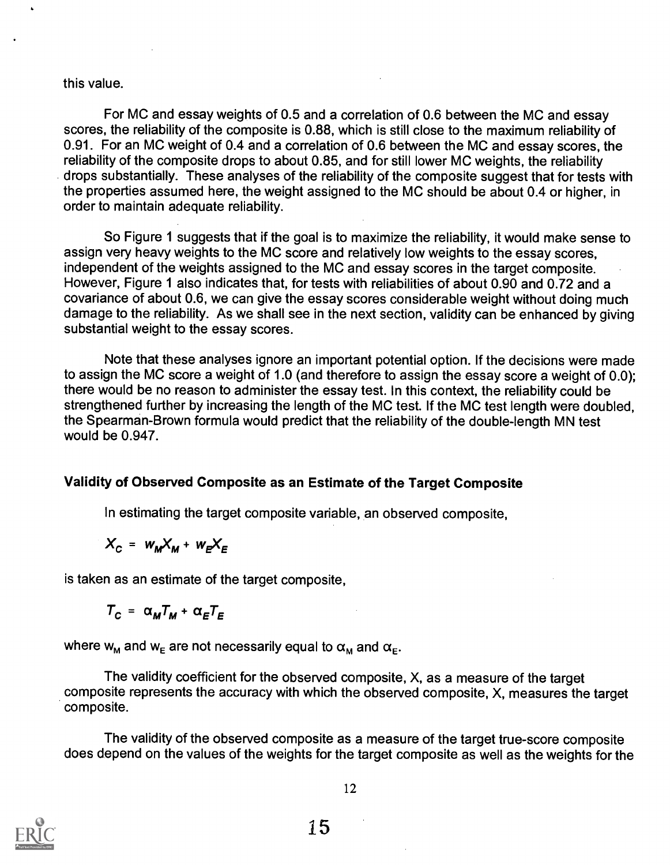#### this value.

For MC and essay weights of 0.5 and a correlation of 0.6 between the MC and essay scores, the reliability of the composite is 0.88, which is still close to the maximum reliability of 0.91. For an MC weight of 0.4 and a correlation of 0.6 between the MC and essay scores, the reliability of the composite drops to about 0.85, and for still lower MC weights, the reliability drops substantially. These analyses of the reliability of the composite suggest that for tests with the properties assumed here, the weight assigned to the MC should be about 0.4 or higher, in order to maintain adequate reliability.

So Figure 1 suggests that if the goal is to maximize the reliability, it would make sense to assign very heavy weights to the MC score and relatively low weights to the essay scores, independent of the weights assigned to the MC and essay scores in the target composite. However, Figure 1 also indicates that, for tests with reliabilities of about 0.90 and 0.72 and a covariance of about 0.6, we can give the essay scores considerable weight without doing much damage to the reliability. As we shall see in the next section, validity can be enhanced by giving substantial weight to the essay scores.

Note that these analyses ignore an important potential option. If the decisions were made to assign the MC score a weight of 1.0 (and therefore to assign the essay score a weight of 0.0); there would be no reason to administer the essay test. In this context, the reliability could be strengthened further by increasing the length of the MC test. If the MC test length were doubled, the Spearman-Brown formula would predict that the reliability of the double-length MN test would be 0.947.

## Validity of Observed Composite as an Estimate of the Target Composite

In estimating the target composite variable, an observed composite,

 $X_c = W_M X_M + W_P X_F$ 

is taken as an estimate of the target composite,

 $T_c = \alpha_M T_M + \alpha_F T_F$ 

where  $w_M$  and  $w_E$  are not necessarily equal to  $\alpha_M$  and  $\alpha_E$ .

The validity coefficient for the observed composite, X, as a measure of the target composite represents the accuracy with which the observed composite, X, measures the target composite.

The validity of the observed composite as a measure of the target true-score composite does depend on the values of the weights for the target composite as well as the weights for the



12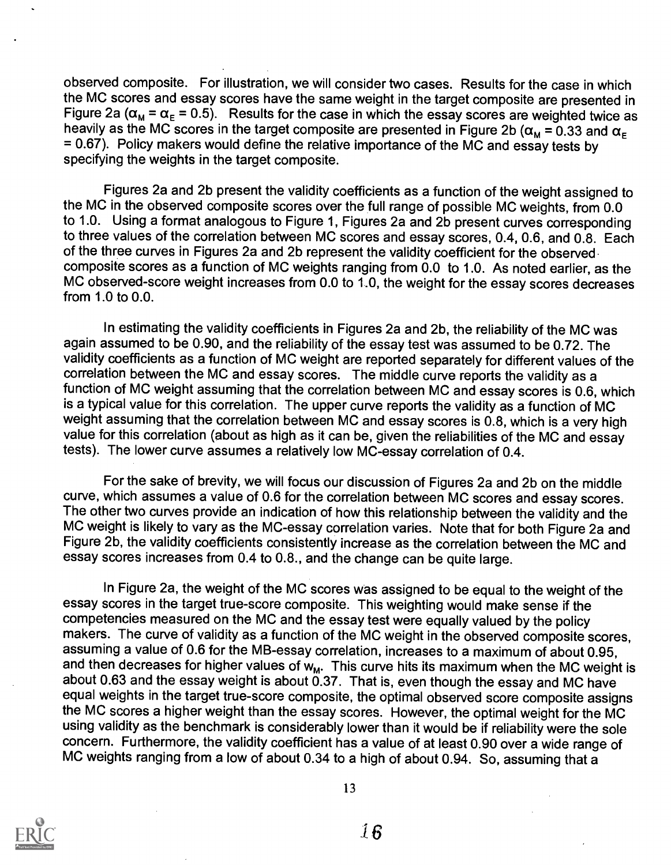observed composite. For illustration, we will consider two cases. Results for the case in which the MC scores and essay scores have the same weight in the target composite are presented in Figure 2a ( $\alpha_M = \alpha_E = 0.5$ ). Results for the case in which the essay scores are weighted twice as heavily as the MC scores in the target composite are presented in Figure 2b ( $\alpha_M = 0.33$  and  $\alpha_E$ = 0.67). Policy makers would define the relative importance of the MC and essay tests by specifying the weights in the target composite.

Figures 2a and 2b present the validity coefficients as a function of the weight assigned to the MC in the observed composite scores over the full range of possible MC weights, from 0.0 to 1.0. Using a format analogous to Figure 1, Figures 2a and 2b present curves corresponding to three values of the correlation between MC scores and essay scores, 0.4, 0.6, and 0.8. Each of the three curves in Figures 2a and 2b represent the validity coefficient for the observed composite scores as a function of MC weights ranging from 0.0 to 1.0. As noted earlier, as the MC observed-score weight increases from 0.0 to 1.0, the weight for the essay scores decreases from 1.0 to 0.0.

In estimating the validity coefficients in Figures 2a and 2b, the reliability of the MC was again assumed to be 0.90, and the reliability of the essay test was assumed to be 0.72. The validity coefficients as a function of MC weight are reported separately for different values of the correlation between the MC and essay scores. The middle curve reports the validity as a function of MC weight assuming that the correlation between MC and essay scores is 0.6, which is a typical value for this correlation. The upper curve reports the validity as a function of MC weight assuming that the correlation between MC and essay scores is 0.8, which is a very high value for this correlation (about as high as it can be, given the reliabilities of the MC and essay tests). The lower curve assumes a relatively low MC-essay correlation of 0.4.

For the sake of brevity, we will focus our discussion of Figures 2a and 2b on the middle curve, which assumes a value of 0.6 for the correlation between MC scores and essay scores. The other two curves provide an indication of how this relationship between the validity and the MC weight is likely to vary as the MC-essay correlation varies. Note that for both Figure 2a and Figure 2b, the validity coefficients consistently increase as the correlation between the MC and essay scores increases from 0.4 to 0.8., and the change can be quite large.

In Figure 2a, the weight of the MC scores was assigned to be equal to the weight of the essay scores in the target true-score composite. This weighting would make sense if the competencies measured on the MC and the essay test were equally valued by the policy makers. The curve of validity as a function of the MC weight in the observed composite scores, assuming a value of 0.6 for the MB-essay correlation, increases to a maximum of about 0.95, and then decreases for higher values of  $w_M$ . This curve hits its maximum when the MC weight is about 0.63 and the essay weight is about  $0.37$ . That is, even though the essay and MC have equal weights in the target true-score composite, the optimal observed score composite assigns the MC scores a higher weight than the essay scores. However, the optimal weight for the MC using validity as the benchmark is considerably lower than it would be if reliability were the sole concern. Furthermore, the validity coefficient has a value of at least 0.90 over a wide range of MC weights ranging from a low of about 0.34 to a high of about 0.94. So, assuming that a

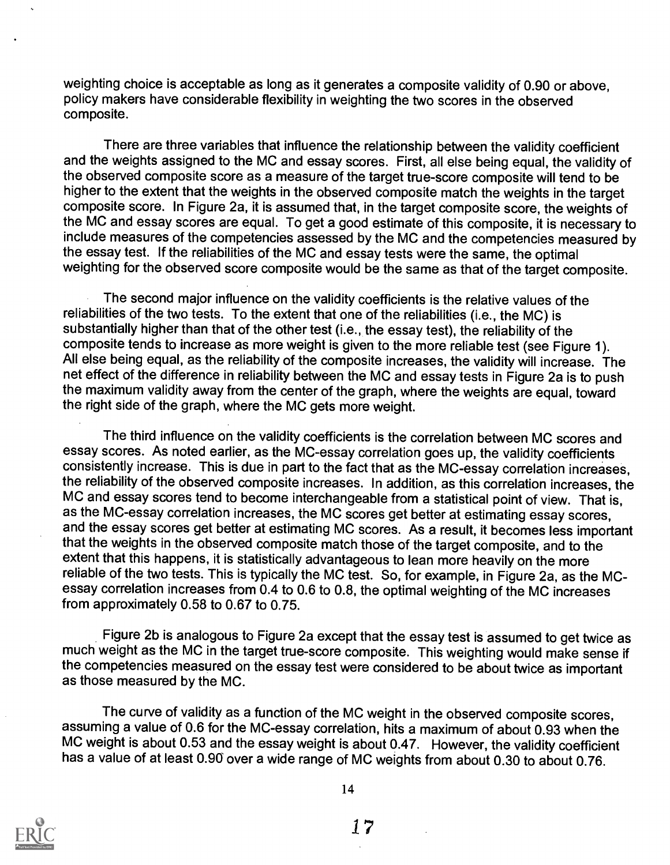weighting choice is acceptable as long as it generates a composite validity of 0.90 or above, policy makers have considerable flexibility in weighting the two scores in the observed composite.

There are three variables that influence the relationship between the validity coefficient and the weights assigned to the MC and essay scores. First, all else being equal, the validity of the observed composite score as a measure of the target true-score composite will tend to be higher to the extent that the weights in the observed composite match the weights in the target composite score. In Figure 2a, it is assumed that, in the target composite score, the weights of the MC and essay scores are equal. To get a good estimate of this composite, it is necessary to include measures of the competencies assessed by the MC and the competencies measured by the essay test. If the reliabilities of the MC and essay tests were the same, the optimal weighting for the observed score composite would be the same as that of the target composite.

The second major influence on the validity coefficients is the relative values of the reliabilities of the two tests. To the extent that one of the reliabilities (i.e., the MC) is substantially higher than that of the other test (i.e., the essay test), the reliability of the composite tends to increase as more weight is given to the more reliable test (see Figure 1). All else being equal, as the reliability of the composite increases, the validity will increase. The net effect of the difference in reliability between the MC and essay tests in Figure 2a is to push the maximum validity away from the center of the graph, where the weights are equal, toward the right side of the graph, where the MC gets more weight.

The third influence on the validity coefficients is the correlation between MC scores and essay scores. As noted earlier, as the MC-essay correlation goes up, the validity coefficients consistently increase. This is due in part to the fact that as the MC-essay correlation increases, the reliability of the observed composite increases. In addition, as this correlation increases, the MC and essay scores tend to become interchangeable from a statistical point of view. That is, as the MC-essay correlation increases, the MC scores get better at estimating essay scores, and the essay scores get better at estimating MC scores. As a result, it becomes less important that the weights in the observed composite match those of the target composite, and to the extent that this happens, it is statistically advantageous to lean more heavily on the more reliable of the two tests. This is typically the MC test. So, for example, in Figure 2a, as the MCessay correlation increases from 0.4 to 0.6 to 0.8, the optimal weighting of the MC increases from approximately 0.58 to 0.67 to 0.75.

Figure 2b is analogous to Figure 2a except that the essay test is assumed to get twice as much weight as the MC in the target true-score composite. This weighting would make sense if the competencies measured on the essay test were considered to be about twice as important as those measured by the MC.

The curve of validity as a function of the MC weight in the observed composite scores, assuming a value of 0.6 for the MC-essay correlation, hits a maximum of about 0.93 when the MC weight is about 0.53 and the essay weight is about 0.47. However, the validity coefficient has a value of at least 0.90 over a wide range of MC weights from about 0.30 to about 0.76.



14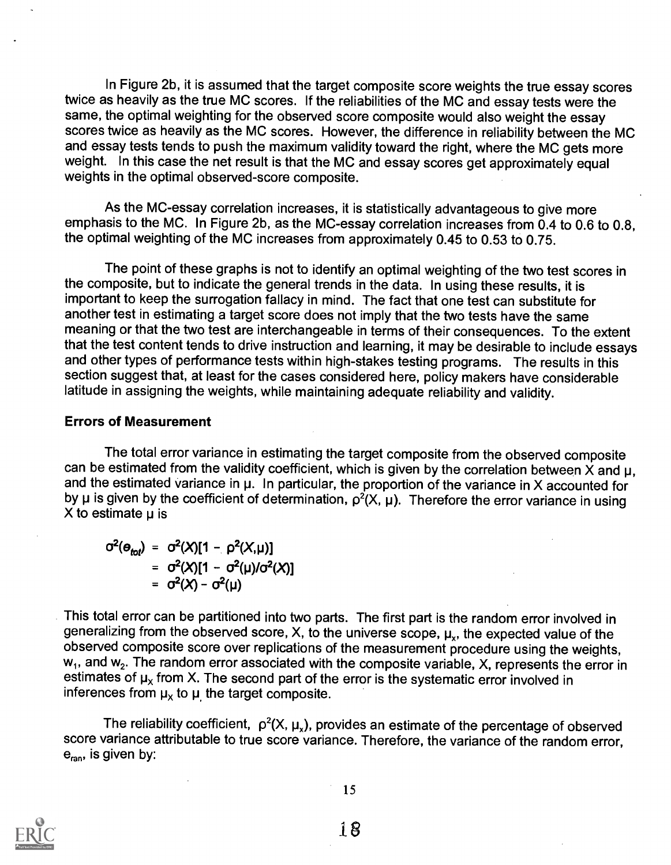In Figure 2b, it is assumed that the target composite score weights the true essay scores twice as heavily as the true MC scores. If the reliabilities of the MC and essay tests were the same, the optimal weighting for the observed score composite would also weight the essay scores twice as heavily as the MC scores. However, the difference in reliability between the MC and essay tests tends to push the maximum validity toward the right, where the MC gets more weight. In this case the net result is that the MC and essay scores get approximately equal weights in the optimal observed-score composite.

As the MC-essay correlation increases, it is statistically advantageous to give more emphasis to the MC. In Figure 2b, as the MC-essay correlation increases from 0.4 to 0.6 to 0.8, the optimal weighting of the MC increases from approximately 0.45 to 0.53 to 0.75.

The point of these graphs is not to identify an optimal weighting of the two test scores in the composite, but to indicate the general trends in the data. In using these results, it is important to keep the surrogation fallacy in mind. The fact that one test can substitute for another test in estimating a target score does not imply that the two tests have the same meaning or that the two test are interchangeable in terms of their consequences. To the extent that the test content tends to drive instruction and learning, it may be desirable to include essays and other types of performance tests within high-stakes testing programs. The results in this section suggest that, at least for the cases considered here, policy makers have considerable latitude in assigning the weights, while maintaining adequate reliability and validity.

#### Errors of Measurement

The total error variance in estimating the target composite from the observed composite can be estimated from the validity coefficient, which is given by the correlation between X and  $\mu$ , and the estimated variance in  $\mu$ . In particular, the proportion of the variance in X accounted for by  $\mu$  is given by the coefficient of determination,  $\rho^2(X, \mu)$ . Therefore the error variance in using X to estimate  $\mu$  is

$$
\sigma^{2}(e_{tot}) = \sigma^{2}(X)[1 - \rho^{2}(X,\mu)]
$$
  
=  $\sigma^{2}(X)[1 - \sigma^{2}(\mu)/\sigma^{2}(X)]$   
=  $\sigma^{2}(X) - \sigma^{2}(\mu)$ 

This total error can be partitioned into two parts. The first part is the random error involved in generalizing from the observed score, X, to the universe scope,  $\mu_{x}$ , the expected value of the observed composite score over replications of the measurement procedure using the weights,  $w_1$ , and  $w_2$ . The random error associated with the composite variable, X, represents the error in estimates of  $\mu_X$  from X. The second part of the error is the systematic error involved in inferences from  $\mu_X$  to  $\mu$  the target composite.

The reliability coefficient,  $\rho^2(X, \mu_X)$ , provides an estimate of the percentage of observed score variance attributable to true score variance. Therefore, the variance of the random error,  $e_{\text{ran}}$ , is given by:

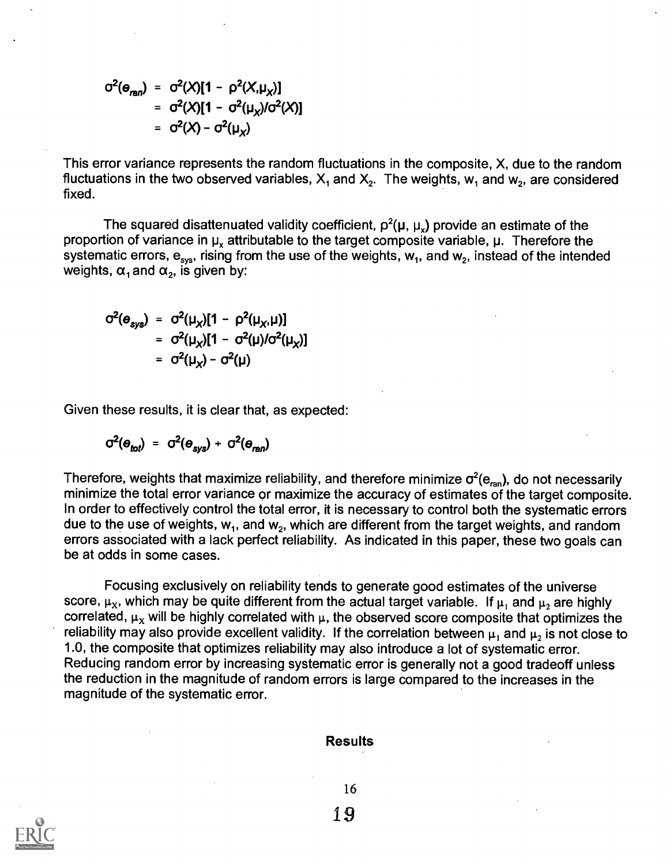$$
\sigma^{2}(e_{ran}) = \sigma^{2}(X)[1 - \rho^{2}(X,\mu_{X})]
$$
  
=  $\sigma^{2}(X)[1 - \sigma^{2}(\mu_{X})/\sigma^{2}(X)]$   
=  $\sigma^{2}(X) - \sigma^{2}(\mu_{X})$ 

This error variance represents the random fluctuations in the composite, X, due to the random fluctuations in the two observed variables,  $X_1$  and  $X_2$ . The weights,  $W_1$  and  $W_2$ , are considered fixed.

The squared disattenuated validity coefficient,  $p^2(\mu, \mu)$  provide an estimate of the proportion of variance in  $\mu$ , attributable to the target composite variable,  $\mu$ . Therefore the systematic errors,  $e_{sys}$ , rising from the use of the weights,  $w_1$ , and  $w_2$ , instead of the intended weights,  $\alpha_1$  and  $\alpha_2$ , is given by:

$$
\sigma^{2}(\Theta_{sys}) = \sigma^{2}(\mu_{X})[1 - \rho^{2}(\mu_{X}, \mu)]
$$
  
=  $\sigma^{2}(\mu_{X})[1 - \sigma^{2}(\mu)/\sigma^{2}(\mu_{X})]$   
=  $\sigma^{2}(\mu_{X}) - \sigma^{2}(\mu)$ 

Given these results, it is clear that, as expected:

$$
\sigma^2(\boldsymbol{\Theta}_{\text{tot}}) = \sigma^2(\boldsymbol{\Theta}_{\text{sys}}) + \sigma^2(\boldsymbol{\Theta}_{\text{ran}})
$$

Therefore, weights that maximize reliability, and therefore minimize  $\sigma^2(e_{\text{ran}})$ , do not necessarily minimize the total error variance or maximize the accuracy of estimates of the target composite. In order to effectively control the total error, it is necessary to control both the systematic errors due to the use of weights,  $w_1$ , and  $w_2$ , which are different from the target weights, and random errors associated with a lack perfect reliability. As indicated in this paper, these two goals can be at odds in some cases.

Focusing exclusively on reliability tends to generate good estimates of the universe score,  $\mu_X$ , which may be quite different from the actual target variable. If  $\mu_1$  and  $\mu_2$  are highly correlated,  $\mu_X$  will be highly correlated with  $\mu$ , the observed score composite that optimizes the reliability may also provide excellent validity. If the correlation between  $\mu_1$  and  $\mu_2$  is not close to 1.0, the composite that optimizes reliability may also introduce a lot of systematic error. Reducing random error by increasing systematic error is generally not a good tradeoff unless the reduction in the magnitude of random errors is large compared to the increases in the magnitude of the systematic error.

#### Results



16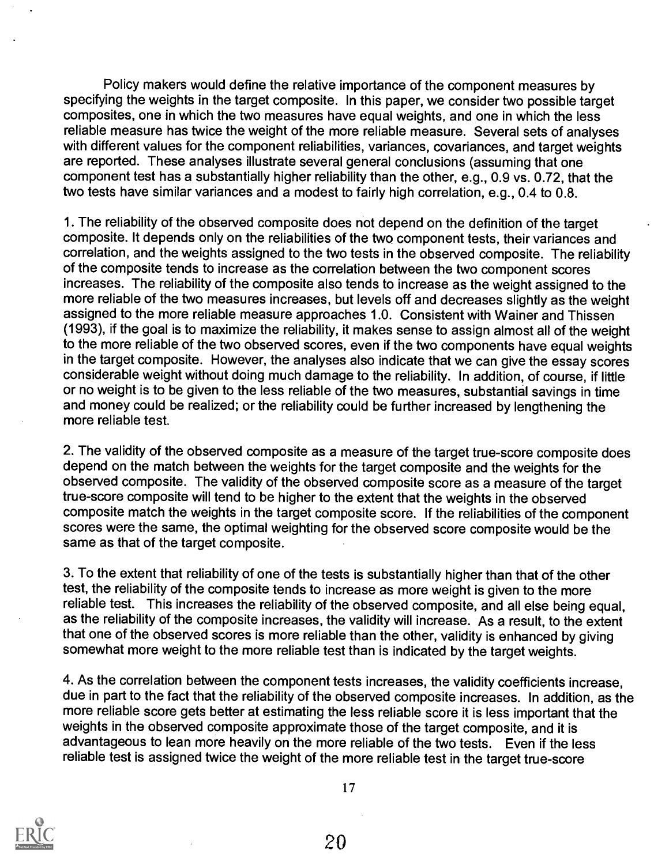Policy makers would define the relative importance of the component measures by specifying the weights in the target composite. In this paper, we consider two possible target composites, one in which the two measures have equal weights, and one in which the less reliable measure has twice the weight of the more reliable measure. Several sets of analyses with different values for the component reliabilities, variances, covariances, and target weights are reported. These analyses illustrate several general conclusions (assuming that one component test has a substantially higher reliability than the other, e.g., 0.9 vs. 0.72, that the two tests have similar variances and a modest to fairly high correlation, e.g., 0.4 to 0.8.

1. The reliability of the observed composite does not depend on the definition of the target composite. It depends only on the reliabilities of the two component tests, their variances and correlation, and the weights assigned to the two tests in the observed composite. The reliability of the composite tends to increase as the correlation between the two component scores increases. The reliability of the composite also tends to increase as the weight assigned to the more reliable of the two measures increases, but levels off and decreases slightly as the weight assigned to the more reliable measure approaches 1.0. Consistent with Wainer and Thissen (1993), if the goal is to maximize the reliability, it makes sense to assign almost all of the weight to the more reliable of the two observed scores, even if the two components have equal weights in the target composite. However, the analyses also indicate that we can give the essay scores considerable weight without doing much damage to the reliability. In addition, of course, if little or no weight is to be given to the less reliable of the two measures, substantial savings in time and money could be realized; or the reliability could be further increased by lengthening the more reliable test.

2. The validity of the observed composite as a measure of the target true-score composite does depend on the match between the weights for the target composite and the weights for the observed composite. The validity of the observed composite score as a measure of the target true-score composite will tend to be higher to the extent that the weights in the observed composite match the weights in the target composite score. If the reliabilities of the component scores were the same, the optimal weighting for the observed score composite would be the same as that of the target composite.

3. To the extent that reliability of one of the tests is substantially higher than that of the other test, the reliability of the composite tends to increase as more weight is given to the more reliable test. This increases the reliability of the observed composite, and all else being equal, as the reliability of the composite increases, the validity will increase. As a result, to the extent that one of the observed scores is more reliable than the other, validity is enhanced by giving somewhat more weight to the more reliable test than is indicated by the target weights.

4. As the correlation between the component tests increases, the validity coefficients increase, due in part to the fact that the reliability of the observed composite increases. In addition, as the more reliable score gets better at estimating the less reliable score it is less important that the weights in the observed composite approximate those of the target composite, and it is advantageous to lean more heavily on the more reliable of the two tests. Even if the less reliable test is assigned twice the weight of the more reliable test in the target true-score



17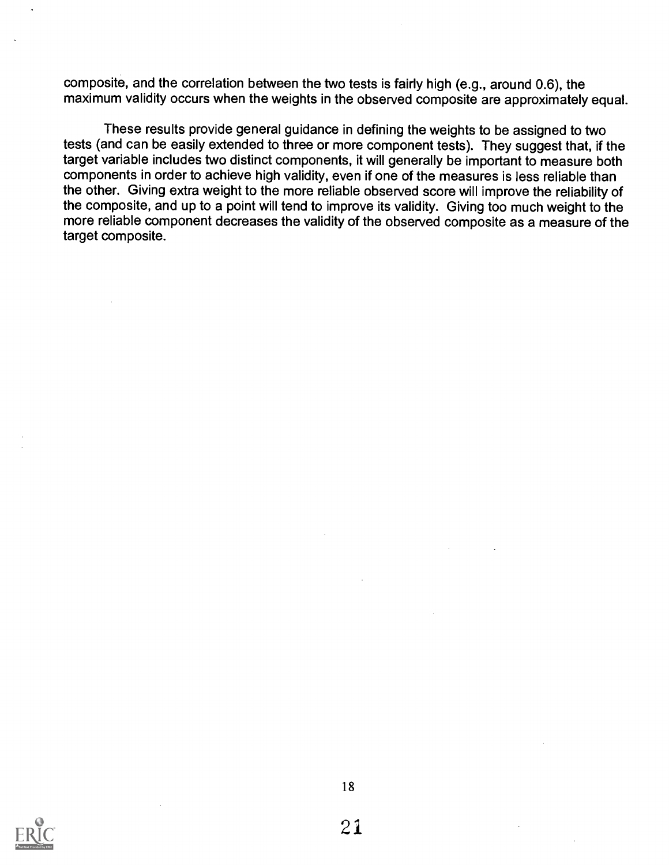composite, and the correlation between the two tests is fairly high (e.g., around 0.6), the maximum validity occurs when the weights in the observed composite are approximately equal.

These results provide general guidance in defining the weights to be assigned to two tests (and can be easily extended to three or more component tests). They suggest that, if the target variable includes two distinct components, it will generally be important to measure both components in order to achieve high validity, even if one of the measures is less reliable than the other. Giving extra weight to the more reliable observed score will improve the reliability of the composite, and up to a point will tend to improve its validity. Giving too much weight to the more reliable component decreases the validity of the observed composite as a measure of the target composite.

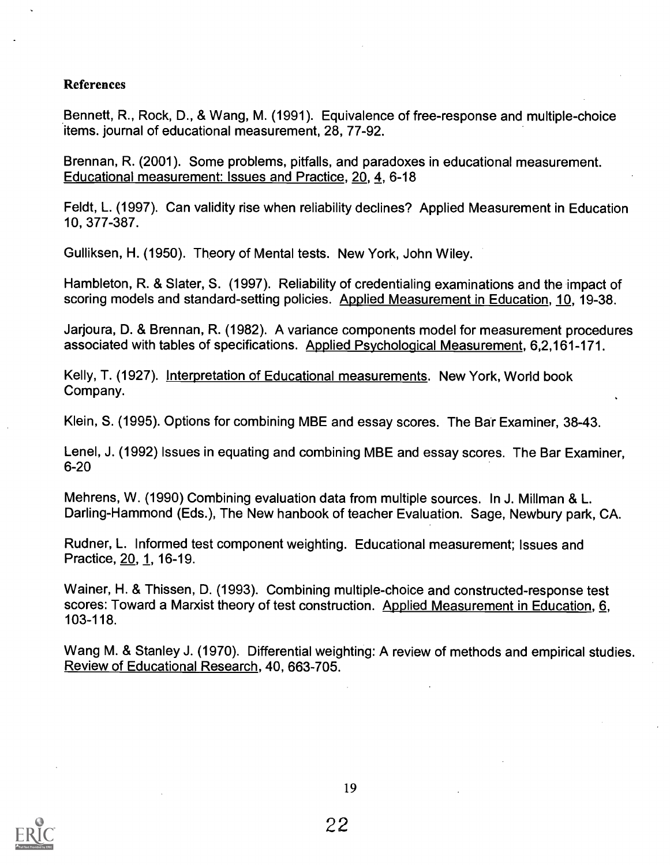### References

Bennett, R., Rock, D., & Wang, M. (1991). Equivalence of free-response and multiple-choice items. journal of educational measurement, 28, 77-92.

Brennan, R. (2001). Some problems, pitfalls, and paradoxes in educational measurement. Educational measurement: Issues and Practice, 20, 4, 6-18

Feldt, L. (1997). Can validity rise when reliability declines? Applied Measurement in Education 10, 377-387.

Gulliksen, H. (1950). Theory of Mental tests. New York, John Wiley.

Hambleton, R. & Slater, S. (1997). Reliability of credentialing examinations and the impact of scoring models and standard-setting policies. Applied Measurement in Education, 10, 19-38.

Jarjoura, D. & Brennan, R. (1982). A variance components model for measurement procedures associated with tables of specifications. Applied Psychological Measurement, 6,2,161-171.

Kelly, T. (1927). Interpretation of Educational measurements. New York, World book Company.

Klein, S. (1995). Options for combining MBE and essay scores. The Bar Examiner, 38-43.

Lenel, J. (1992) Issues in equating and combining MBE and essay scores. The Bar Examiner, 6-20

Mehrens, W. (1990) Combining evaluation data from multiple sources. In J. Millman & L. Darling-Hammond (Eds.), The New hanbook of teacher Evaluation. Sage, Newbury park, CA.

Rudner, L. Informed test component weighting. Educational measurement; Issues and Practice, 20, 1, 16-19.

Wainer, H. & Thissen, D. (1993). Combining multiple-choice and constructed-response test scores: Toward a Marxist theory of test construction. Applied Measurement in Education, 6, 103-118.

Wang M. & Stanley J. (1970). Differential weighting: A review of methods and empirical studies. Review of Educational Research, 40, 663-705.

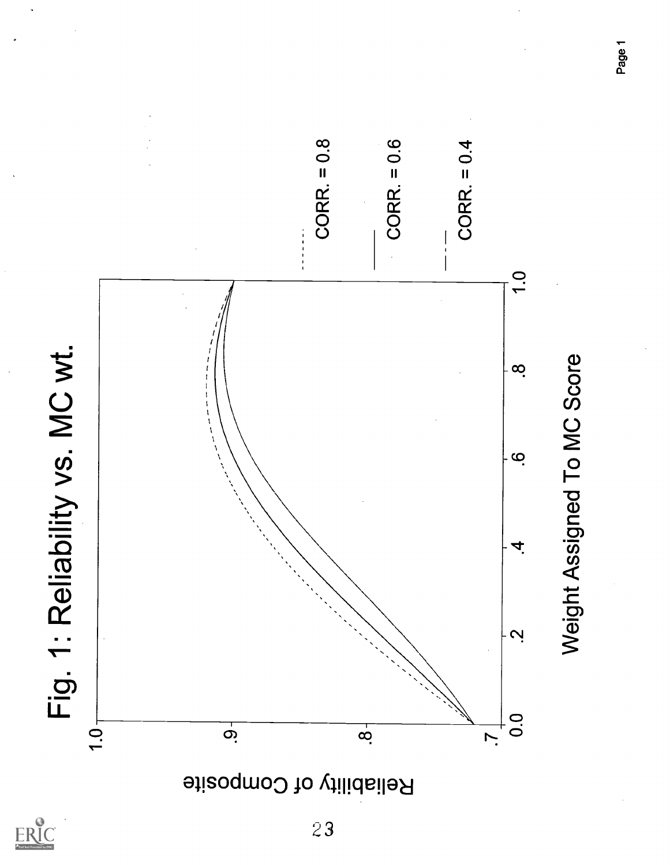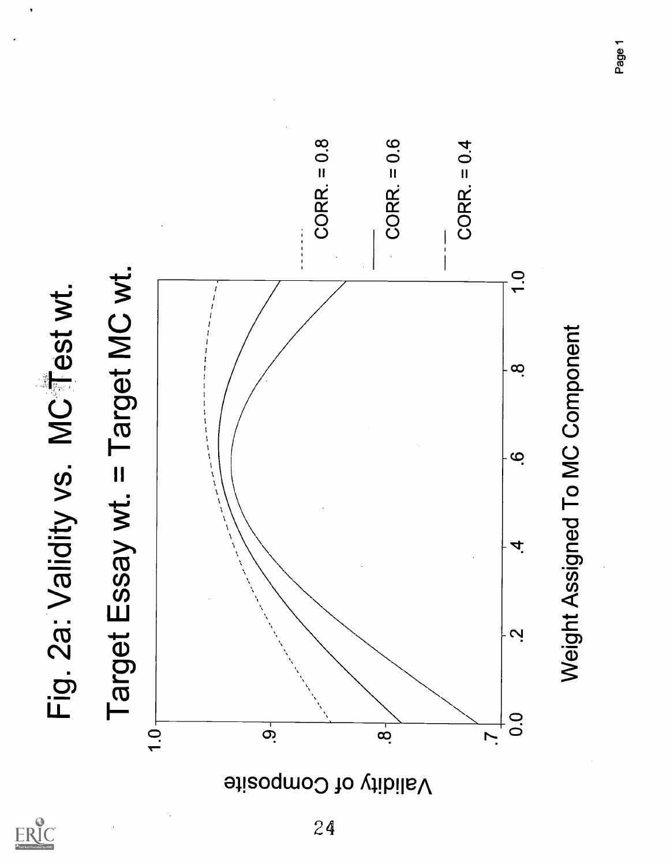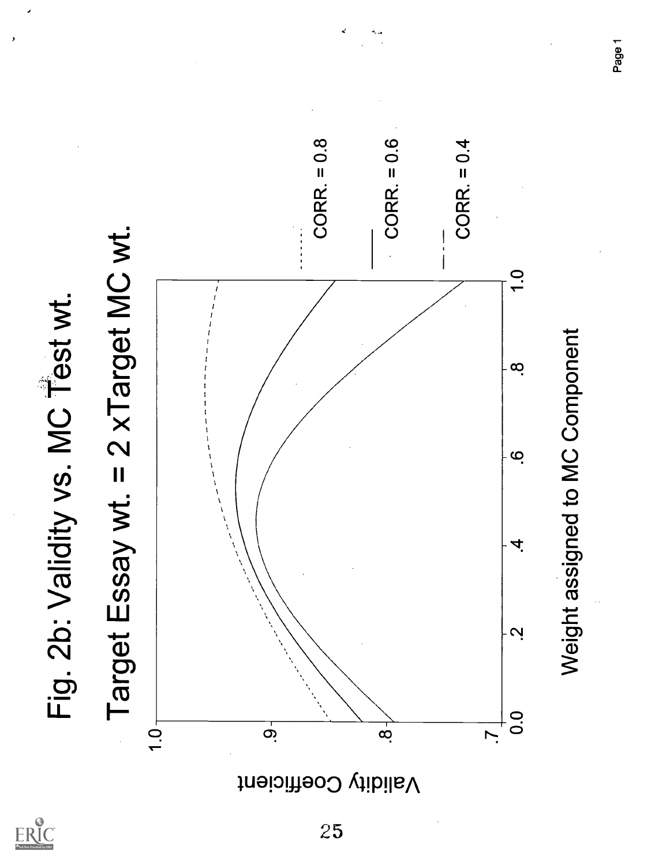





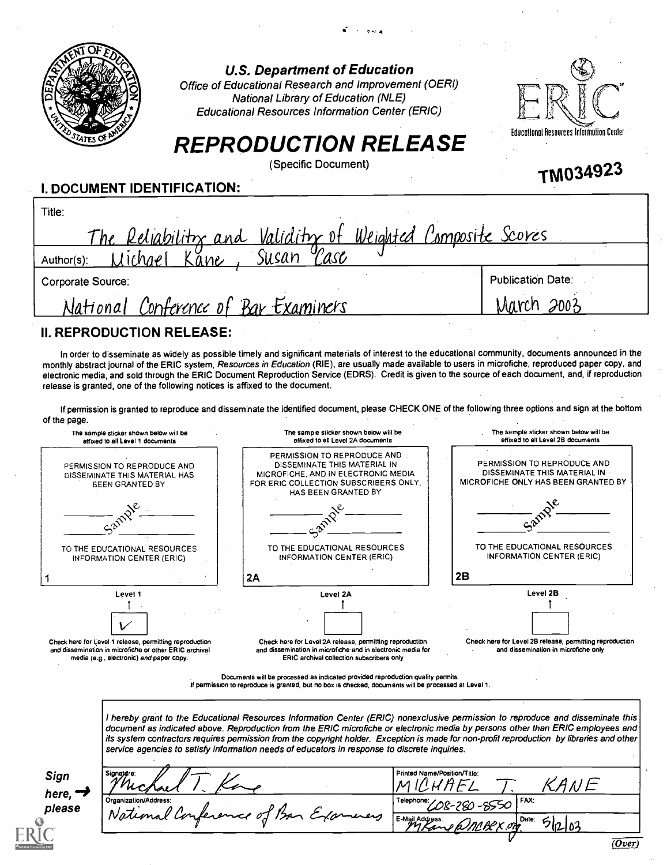

In order to disseminate as widely as possible timely and significant materials of interest to the educational community, documents announced in the monthly abstract journal of the ERIC system, Resources in Education (RIE), are usually made available to users in microfiche, reproduced paper copy, and electronic media, and sold through the ERIC Document Reproduction Service (EDRS). Credit is given to the source of each document, and, if reproduction release is granted, one of the following notices is affixed to the document.

If permission is granted to reproduce and disseminate the identified document, please CHECK ONE of the following three options and sign at the bottom of the page.



Documents will be processed as indicated provided reproduction quality permits. If permission to reproduce is granted, but no box is checked, documents will be processed at Level 1.

I hereby grant to the Educational Resources Information Center (ERIC) nonexclusive permission to reproduce and disseminate this document as indicated above. Reproduction from the ERIC microfiche or electronic media by persons other than ERIC employees and its system contractors requires permission from the copyright holder. Exception is made for non-profit reproduction by libraries and other service agencies to satisfy information needs of educators in response to discrete inquiries.

| Sign   | Signature:                           | Printed Name/Position/Title:<br>. IV                          |  |
|--------|--------------------------------------|---------------------------------------------------------------|--|
| here,  | Mc<br>مصصاح<br>Organization/Address: | Telephone: /                                                  |  |
| please | National Conference of<br>commens    | LO8-280-8550 FAX:                                             |  |
| へ      |                                      | E-Mail Address:<br>Date:<br>5n<br>Kane a nepex org<br>رہ اسلا |  |
|        |                                      | <u>(Over</u>                                                  |  |
|        |                                      |                                                               |  |